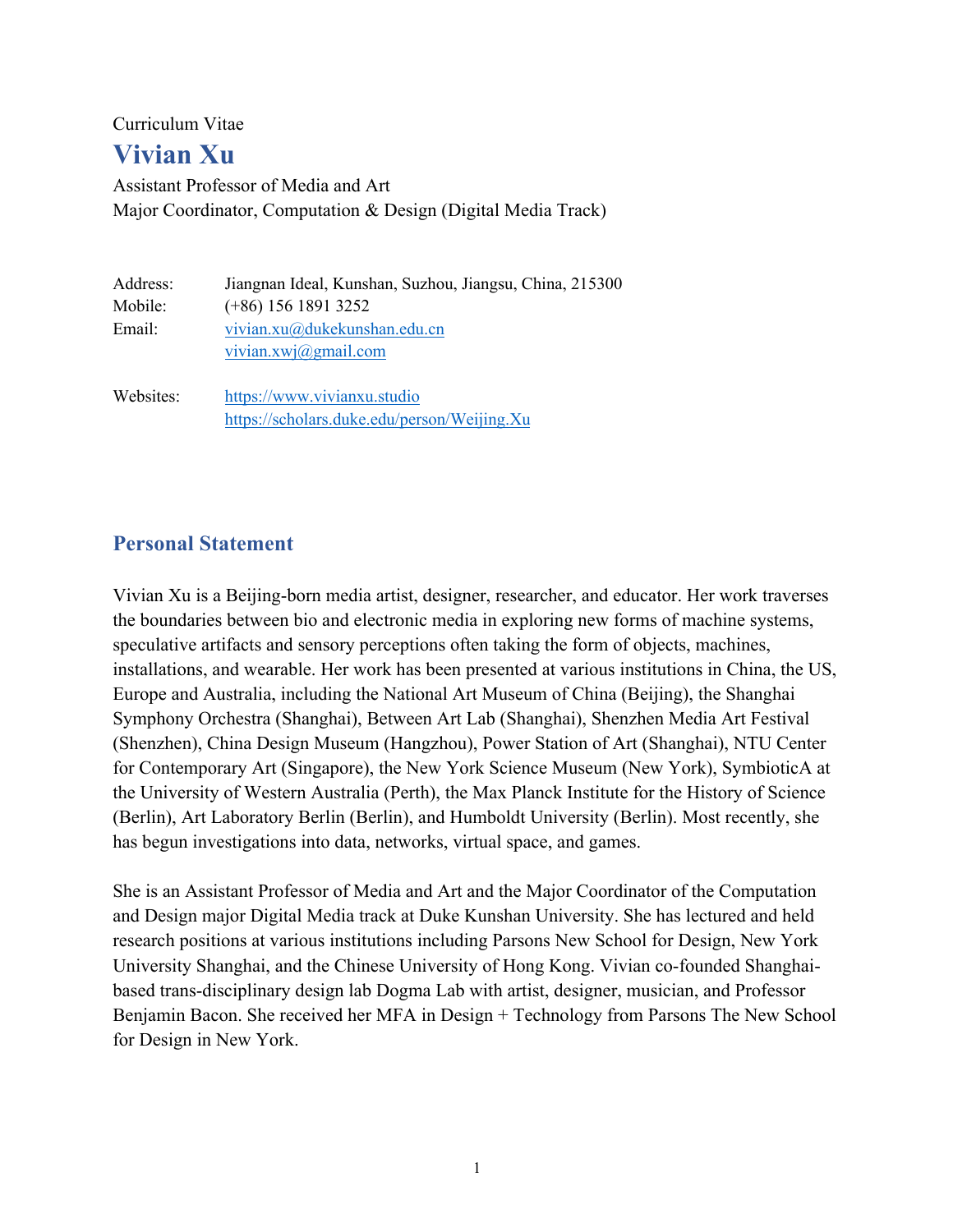Curriculum Vitae

# **Vivian Xu**

Assistant Professor of Media and Art Major Coordinator, Computation & Design (Digital Media Track)

| Address:<br>Mobile: | Jiangnan Ideal, Kunshan, Suzhou, Jiangsu, China, 215300<br>$(+86)$ 156 1891 3252 |
|---------------------|----------------------------------------------------------------------------------|
|                     |                                                                                  |
| Email:              | vivian.xu@dukekunshan.edu.cn                                                     |
|                     | vivian.xwj $(\partial \text{gmail.com})$                                         |
| Websites:           | https://www.vivianxu.studio                                                      |
|                     | https://scholars.duke.edu/person/Weijing.Xu                                      |

## **Personal Statement**

Vivian Xu is a Beijing-born media artist, designer, researcher, and educator. Her work traverses the boundaries between bio and electronic media in exploring new forms of machine systems, speculative artifacts and sensory perceptions often taking the form of objects, machines, installations, and wearable. Her work has been presented at various institutions in China, the US, Europe and Australia, including the National Art Museum of China (Beijing), the Shanghai Symphony Orchestra (Shanghai), Between Art Lab (Shanghai), Shenzhen Media Art Festival (Shenzhen), China Design Museum (Hangzhou), Power Station of Art (Shanghai), NTU Center for Contemporary Art (Singapore), the New York Science Museum (New York), SymbioticA at the University of Western Australia (Perth), the Max Planck Institute for the History of Science (Berlin), Art Laboratory Berlin (Berlin), and Humboldt University (Berlin). Most recently, she has begun investigations into data, networks, virtual space, and games.

She is an Assistant Professor of Media and Art and the Major Coordinator of the Computation and Design major Digital Media track at Duke Kunshan University. She has lectured and held research positions at various institutions including Parsons New School for Design, New York University Shanghai, and the Chinese University of Hong Kong. Vivian co-founded Shanghaibased trans-disciplinary design lab Dogma Lab with artist, designer, musician, and Professor Benjamin Bacon. She received her MFA in Design + Technology from Parsons The New School for Design in New York.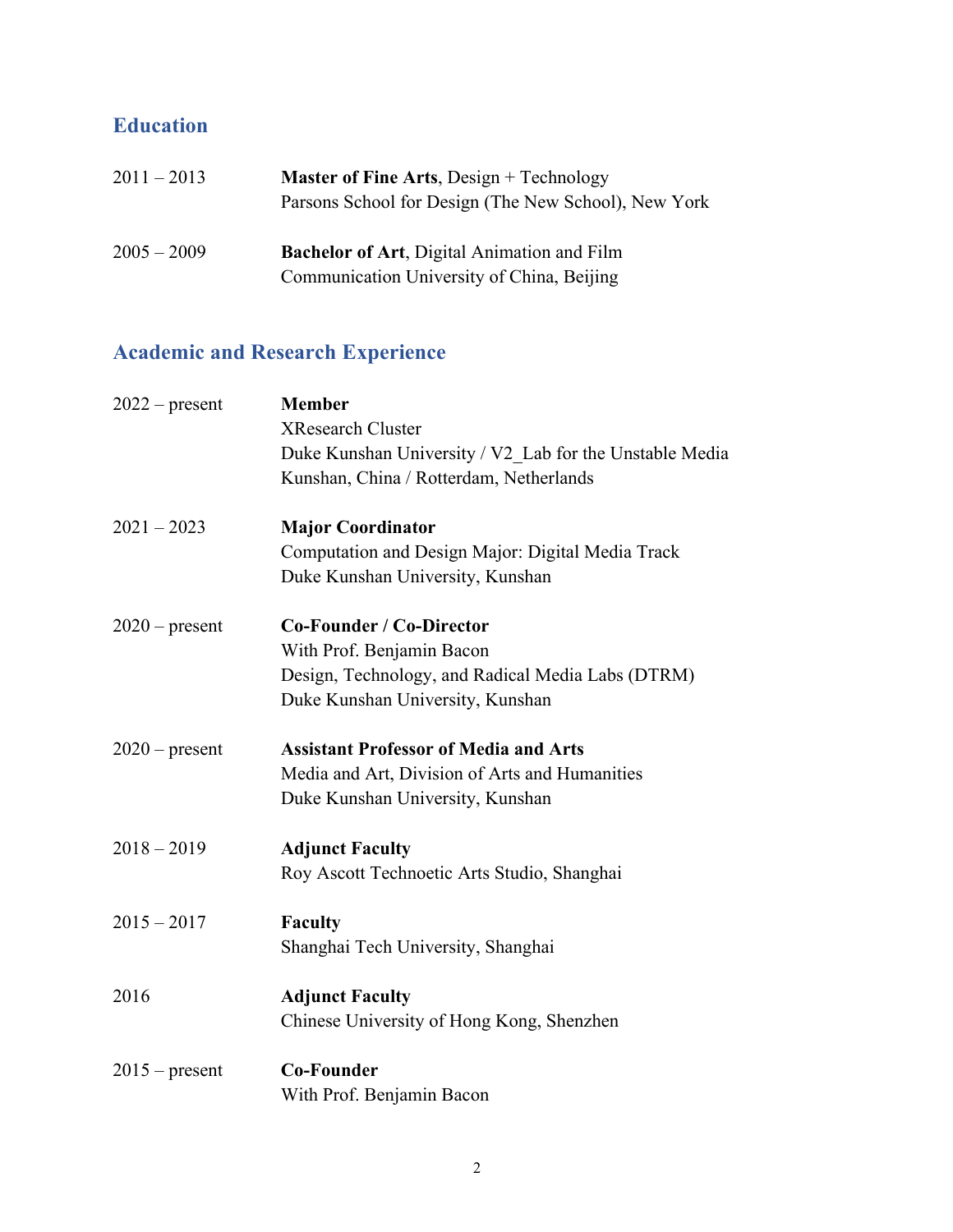# **Education**

| $2011 - 2013$ | <b>Master of Fine Arts, Design + Technology</b><br>Parsons School for Design (The New School), New York |
|---------------|---------------------------------------------------------------------------------------------------------|
| $2005 - 2009$ | <b>Bachelor of Art, Digital Animation and Film</b><br>Communication University of China, Beijing        |

# **Academic and Research Experience**

| $2022$ – present | <b>Member</b>                                           |
|------------------|---------------------------------------------------------|
|                  | <b>XResearch Cluster</b>                                |
|                  | Duke Kunshan University / V2 Lab for the Unstable Media |
|                  | Kunshan, China / Rotterdam, Netherlands                 |
| $2021 - 2023$    | <b>Major Coordinator</b>                                |
|                  | Computation and Design Major: Digital Media Track       |
|                  | Duke Kunshan University, Kunshan                        |
| $2020$ – present | <b>Co-Founder / Co-Director</b>                         |
|                  | With Prof. Benjamin Bacon                               |
|                  | Design, Technology, and Radical Media Labs (DTRM)       |
|                  | Duke Kunshan University, Kunshan                        |
| $2020$ – present | <b>Assistant Professor of Media and Arts</b>            |
|                  | Media and Art, Division of Arts and Humanities          |
|                  | Duke Kunshan University, Kunshan                        |
| $2018 - 2019$    | <b>Adjunct Faculty</b>                                  |
|                  |                                                         |
|                  | Roy Ascott Technoetic Arts Studio, Shanghai             |
| $2015 - 2017$    | <b>Faculty</b>                                          |
|                  | Shanghai Tech University, Shanghai                      |
| 2016             | <b>Adjunct Faculty</b>                                  |
|                  | Chinese University of Hong Kong, Shenzhen               |
| $2015$ – present | <b>Co-Founder</b>                                       |
|                  | With Prof. Benjamin Bacon                               |
|                  |                                                         |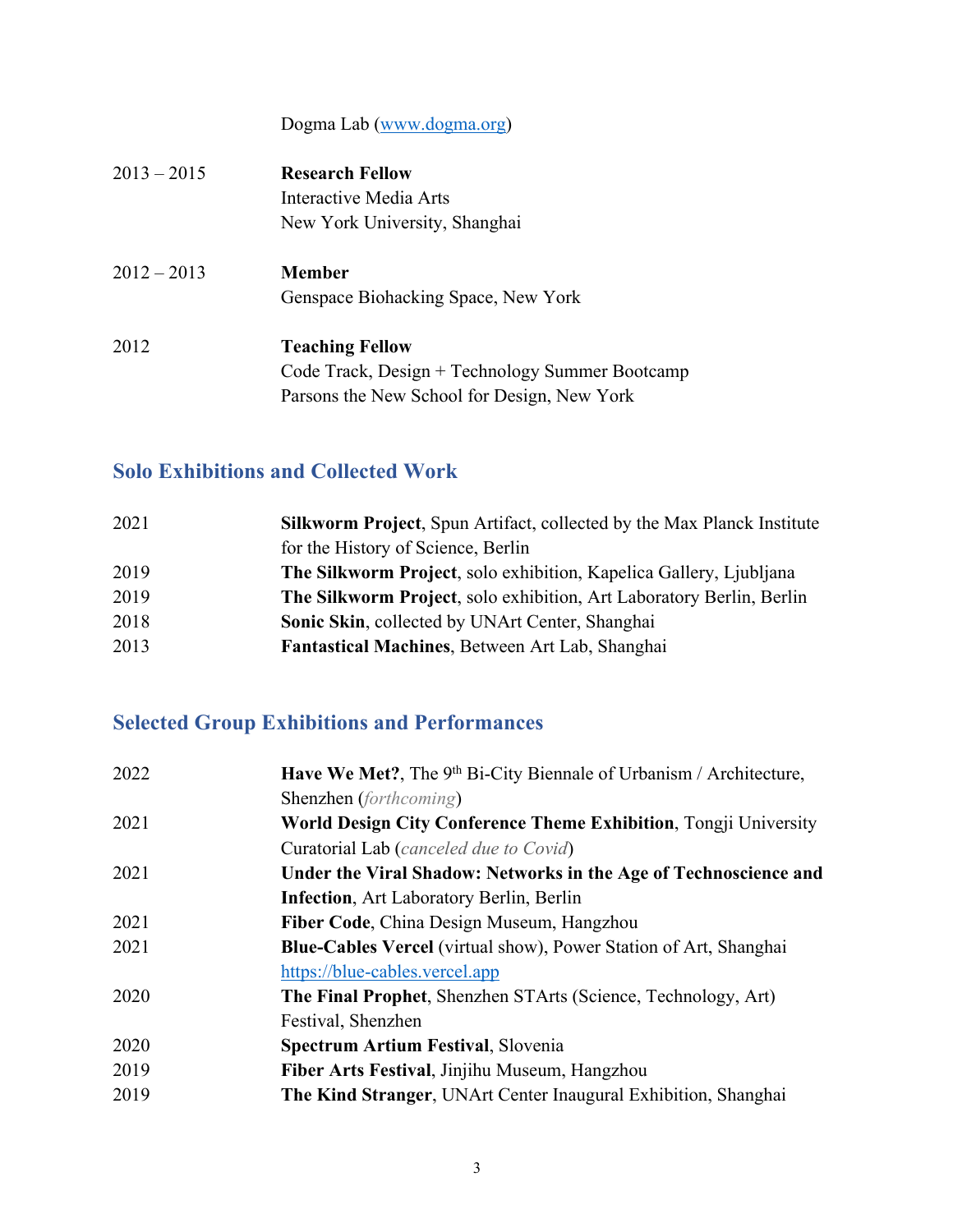Dogma Lab (www.dogma.org)

| $2013 - 2015$ | <b>Research Fellow</b><br>Interactive Media Arts<br>New York University, Shanghai                                        |
|---------------|--------------------------------------------------------------------------------------------------------------------------|
| $2012 - 2013$ | <b>Member</b><br>Genspace Biohacking Space, New York                                                                     |
| 2012          | <b>Teaching Fellow</b><br>Code Track, Design + Technology Summer Bootcamp<br>Parsons the New School for Design, New York |

## **Solo Exhibitions and Collected Work**

| 2021 | <b>Silkworm Project, Spun Artifact, collected by the Max Planck Institute</b> |
|------|-------------------------------------------------------------------------------|
|      | for the History of Science, Berlin                                            |
| 2019 | The Silkworm Project, solo exhibition, Kapelica Gallery, Ljubljana            |
| 2019 | The Silkworm Project, solo exhibition, Art Laboratory Berlin, Berlin          |
| 2018 | Sonic Skin, collected by UNArt Center, Shanghai                               |
| 2013 | Fantastical Machines, Between Art Lab, Shanghai                               |

# **Selected Group Exhibitions and Performances**

| 2022 | Have We Met?, The 9 <sup>th</sup> Bi-City Biennale of Urbanism / Architecture, |
|------|--------------------------------------------------------------------------------|
|      | Shenzhen (forthcoming)                                                         |
| 2021 | <b>World Design City Conference Theme Exhibition, Tongji University</b>        |
|      | Curatorial Lab (canceled due to Covid)                                         |
| 2021 | Under the Viral Shadow: Networks in the Age of Technoscience and               |
|      | <b>Infection, Art Laboratory Berlin, Berlin</b>                                |
| 2021 | Fiber Code, China Design Museum, Hangzhou                                      |
| 2021 | <b>Blue-Cables Vercel</b> (virtual show), Power Station of Art, Shanghai       |
|      | https://blue-cables.vercel.app                                                 |
| 2020 | <b>The Final Prophet, Shenzhen STArts (Science, Technology, Art)</b>           |
|      | Festival, Shenzhen                                                             |
| 2020 | <b>Spectrum Artium Festival, Slovenia</b>                                      |
| 2019 | Fiber Arts Festival, Jinjihu Museum, Hangzhou                                  |
| 2019 | <b>The Kind Stranger, UNArt Center Inaugural Exhibition, Shanghai</b>          |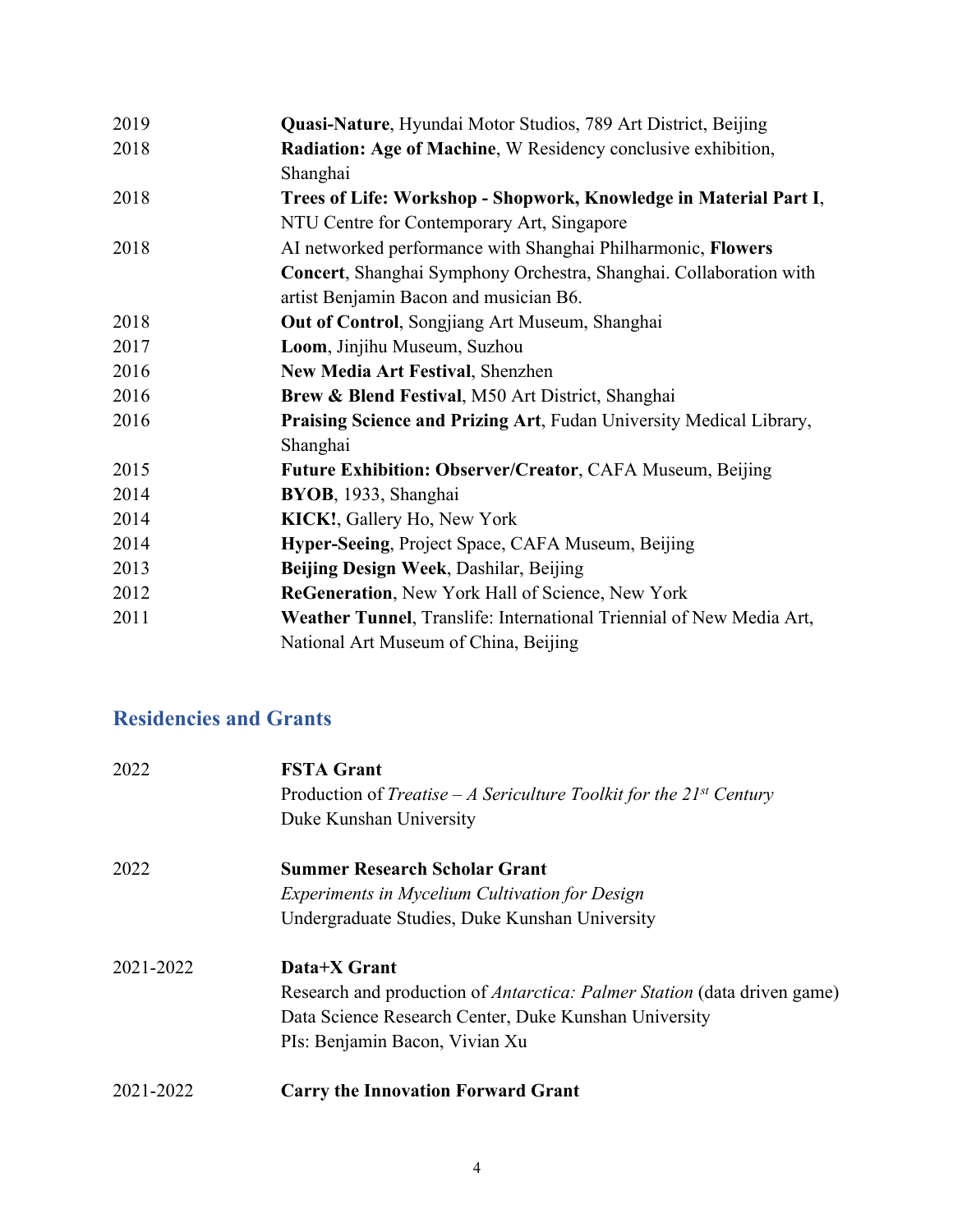| 2019 | Quasi-Nature, Hyundai Motor Studios, 789 Art District, Beijing       |
|------|----------------------------------------------------------------------|
| 2018 | Radiation: Age of Machine, W Residency conclusive exhibition,        |
|      | Shanghai                                                             |
| 2018 | Trees of Life: Workshop - Shopwork, Knowledge in Material Part I,    |
|      | NTU Centre for Contemporary Art, Singapore                           |
| 2018 | AI networked performance with Shanghai Philharmonic, Flowers         |
|      | Concert, Shanghai Symphony Orchestra, Shanghai. Collaboration with   |
|      | artist Benjamin Bacon and musician B6.                               |
| 2018 | Out of Control, Songjiang Art Museum, Shanghai                       |
| 2017 | Loom, Jinjihu Museum, Suzhou                                         |
| 2016 | New Media Art Festival, Shenzhen                                     |
| 2016 | Brew & Blend Festival, M50 Art District, Shanghai                    |
| 2016 | Praising Science and Prizing Art, Fudan University Medical Library,  |
|      | Shanghai                                                             |
| 2015 | <b>Future Exhibition: Observer/Creator, CAFA Museum, Beijing</b>     |
| 2014 | BYOB, 1933, Shanghai                                                 |
| 2014 | KICK!, Gallery Ho, New York                                          |
| 2014 | Hyper-Seeing, Project Space, CAFA Museum, Beijing                    |
| 2013 | Beijing Design Week, Dashilar, Beijing                               |
| 2012 | ReGeneration, New York Hall of Science, New York                     |
| 2011 | Weather Tunnel, Translife: International Triennial of New Media Art, |
|      | National Art Museum of China, Beijing                                |
|      |                                                                      |

# **Residencies and Grants**

| 2022      | <b>FSTA Grant</b>                                                               |
|-----------|---------------------------------------------------------------------------------|
|           | Production of <i>Treatise – A Sericulture Toolkit for the 21st Century</i>      |
|           | Duke Kunshan University                                                         |
| 2022      | <b>Summer Research Scholar Grant</b>                                            |
|           | <i>Experiments in Mycelium Cultivation for Design</i>                           |
|           | Undergraduate Studies, Duke Kunshan University                                  |
| 2021-2022 | Data+X Grant                                                                    |
|           | Research and production of <i>Antarctica: Palmer Station</i> (data driven game) |
|           | Data Science Research Center, Duke Kunshan University                           |
|           | PIs: Benjamin Bacon, Vivian Xu                                                  |
| 2021-2022 | <b>Carry the Innovation Forward Grant</b>                                       |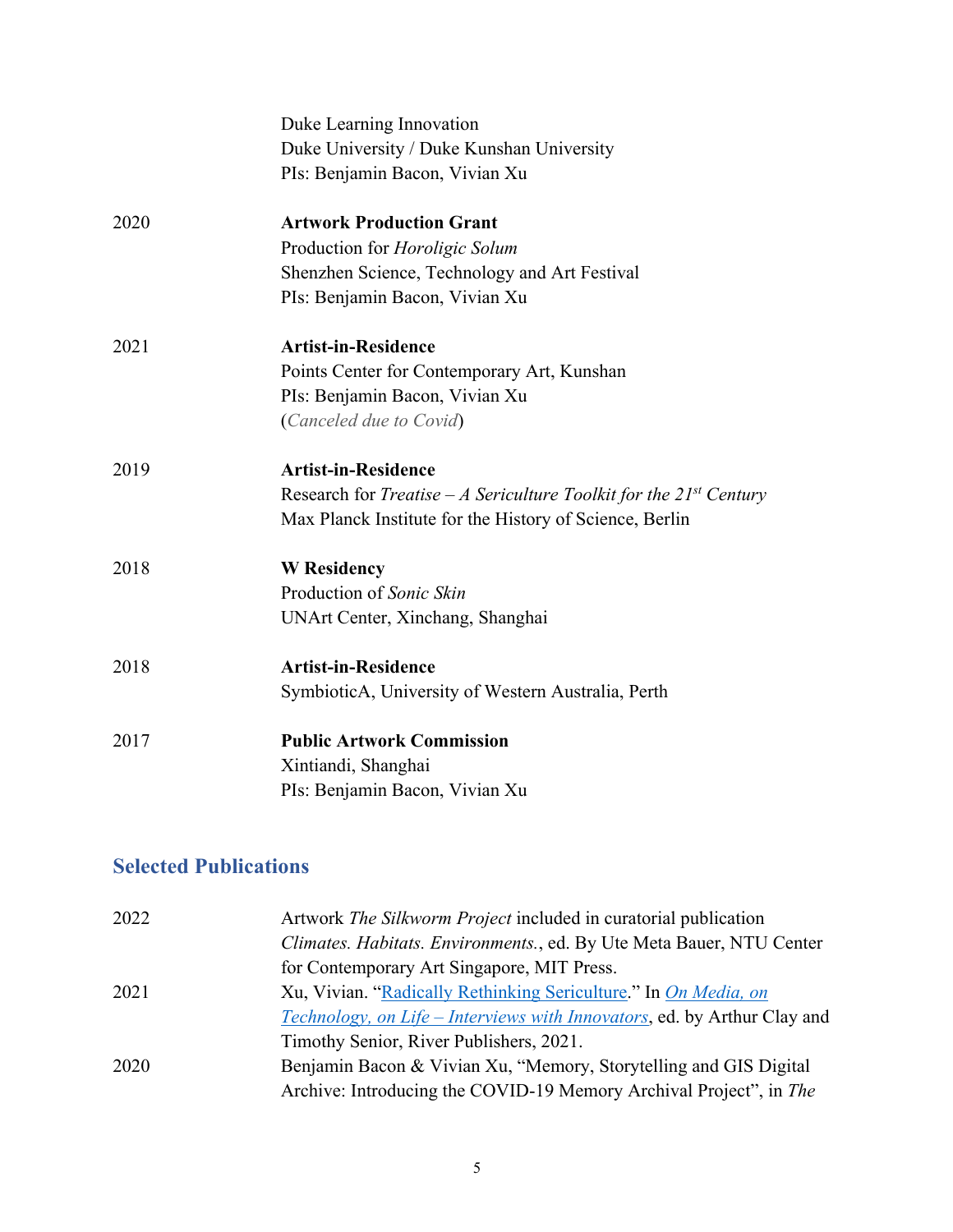|      | Duke Learning Innovation                                                             |
|------|--------------------------------------------------------------------------------------|
|      | Duke University / Duke Kunshan University                                            |
|      | PIs: Benjamin Bacon, Vivian Xu                                                       |
| 2020 | <b>Artwork Production Grant</b>                                                      |
|      | Production for <i>Horoligic Solum</i>                                                |
|      | Shenzhen Science, Technology and Art Festival                                        |
|      | PIs: Benjamin Bacon, Vivian Xu                                                       |
| 2021 | <b>Artist-in-Residence</b>                                                           |
|      | Points Center for Contemporary Art, Kunshan                                          |
|      | PIs: Benjamin Bacon, Vivian Xu                                                       |
|      | (Canceled due to Covid)                                                              |
| 2019 | <b>Artist-in-Residence</b>                                                           |
|      | Research for <i>Treatise – A Sericulture Toolkit for the 21<sup>st</sup> Century</i> |
|      | Max Planck Institute for the History of Science, Berlin                              |
| 2018 | <b>W</b> Residency                                                                   |
|      | Production of Sonic Skin                                                             |
|      | UNArt Center, Xinchang, Shanghai                                                     |
| 2018 | <b>Artist-in-Residence</b>                                                           |
|      | SymbioticA, University of Western Australia, Perth                                   |
| 2017 | <b>Public Artwork Commission</b>                                                     |
|      | Xintiandi, Shanghai                                                                  |
|      | PIs: Benjamin Bacon, Vivian Xu                                                       |
|      |                                                                                      |

# **Selected Publications**

| 2022 | Artwork <i>The Silkworm Project</i> included in curatorial publication          |
|------|---------------------------------------------------------------------------------|
|      | Climates. Habitats. Environments., ed. By Ute Meta Bauer, NTU Center            |
|      | for Contemporary Art Singapore, MIT Press.                                      |
| 2021 | Xu, Vivian. "Radically Rethinking Sericulture." In On Media, on                 |
|      | <i>Technology, on Life – Interviews with Innovators, ed. by Arthur Clay and</i> |
|      | Timothy Senior, River Publishers, 2021.                                         |
| 2020 | Benjamin Bacon & Vivian Xu, "Memory, Storytelling and GIS Digital               |
|      | Archive: Introducing the COVID-19 Memory Archival Project", in The              |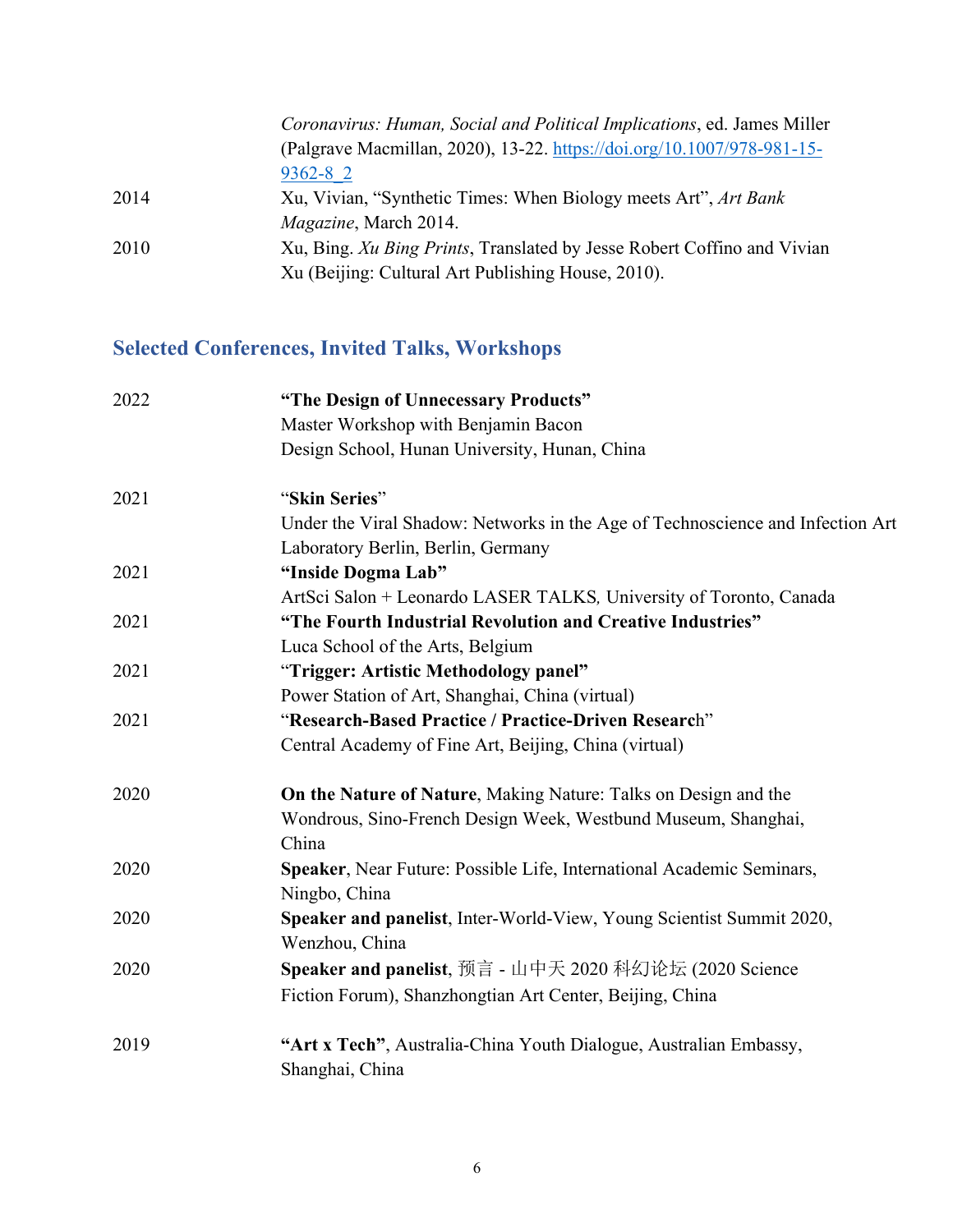|      | Coronavirus: Human, Social and Political Implications, ed. James Miller |
|------|-------------------------------------------------------------------------|
|      | (Palgrave Macmillan, 2020), 13-22. https://doi.org/10.1007/978-981-15-  |
|      | $9362 - 8$ 2                                                            |
| 2014 | Xu, Vivian, "Synthetic Times: When Biology meets Art", Art Bank         |
|      | <i>Magazine</i> , March 2014.                                           |
| 2010 | Xu, Bing. Xu Bing Prints, Translated by Jesse Robert Coffino and Vivian |
|      | Xu (Beijing: Cultural Art Publishing House, 2010).                      |
|      |                                                                         |

# **Selected Conferences, Invited Talks, Workshops**

| 2022 | "The Design of Unnecessary Products"                                           |
|------|--------------------------------------------------------------------------------|
|      | Master Workshop with Benjamin Bacon                                            |
|      | Design School, Hunan University, Hunan, China                                  |
| 2021 | "Skin Series"                                                                  |
|      | Under the Viral Shadow: Networks in the Age of Technoscience and Infection Art |
|      | Laboratory Berlin, Berlin, Germany                                             |
| 2021 | "Inside Dogma Lab"                                                             |
|      | ArtSci Salon + Leonardo LASER TALKS, University of Toronto, Canada             |
| 2021 | "The Fourth Industrial Revolution and Creative Industries"                     |
|      | Luca School of the Arts, Belgium                                               |
| 2021 | "Trigger: Artistic Methodology panel"                                          |
|      | Power Station of Art, Shanghai, China (virtual)                                |
| 2021 | "Research-Based Practice / Practice-Driven Research"                           |
|      | Central Academy of Fine Art, Beijing, China (virtual)                          |
| 2020 | On the Nature of Nature, Making Nature: Talks on Design and the                |
|      | Wondrous, Sino-French Design Week, Westbund Museum, Shanghai,                  |
|      | China                                                                          |
| 2020 | Speaker, Near Future: Possible Life, International Academic Seminars,          |
|      | Ningbo, China                                                                  |
| 2020 | Speaker and panelist, Inter-World-View, Young Scientist Summit 2020,           |
|      | Wenzhou, China                                                                 |
| 2020 | Speaker and panelist, 预言 - 山中天 2020 科幻论坛 (2020 Science                         |
|      | Fiction Forum), Shanzhongtian Art Center, Beijing, China                       |
| 2019 | "Art x Tech", Australia-China Youth Dialogue, Australian Embassy,              |
|      | Shanghai, China                                                                |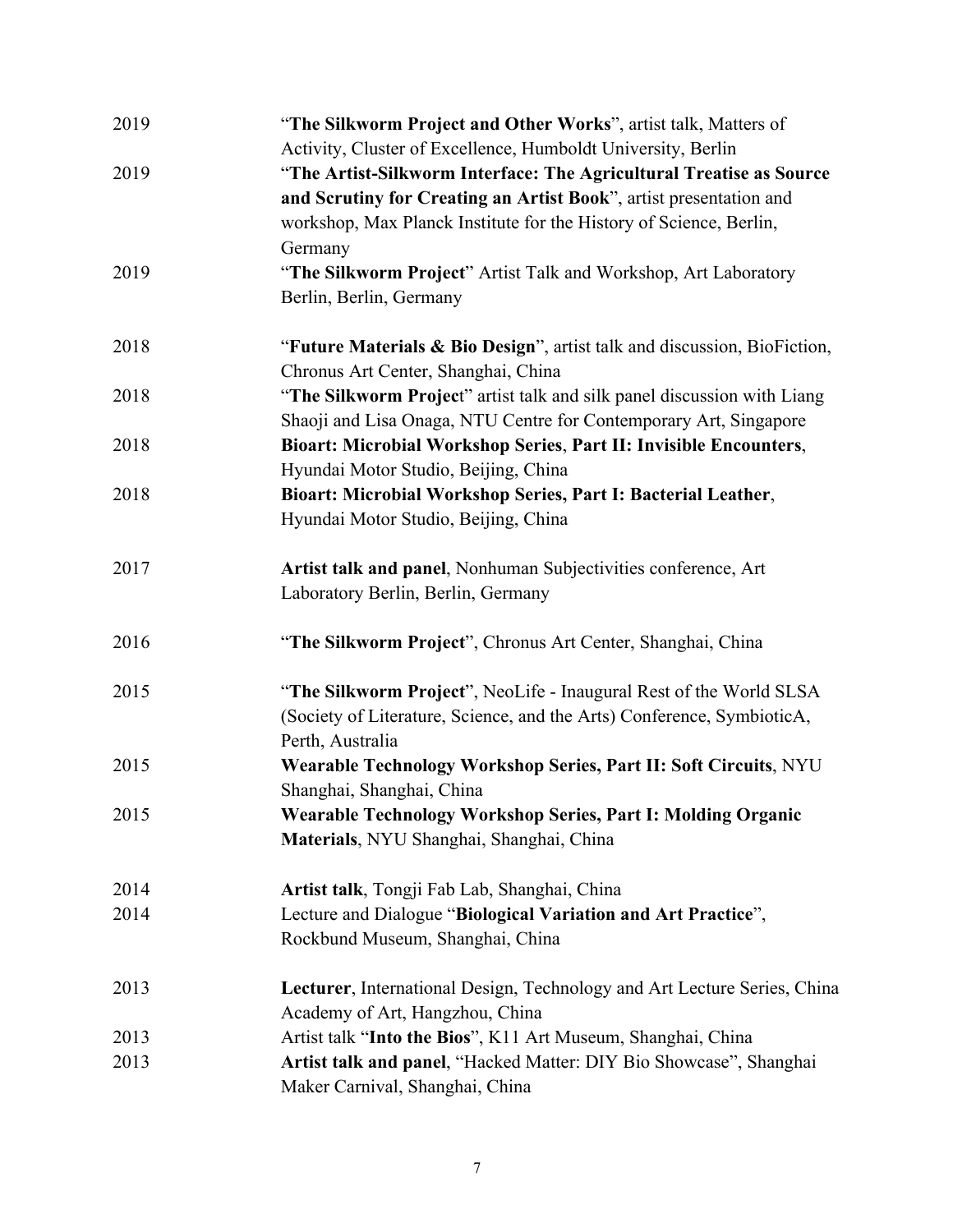| 2019 | "The Silkworm Project and Other Works", artist talk, Matters of          |
|------|--------------------------------------------------------------------------|
|      | Activity, Cluster of Excellence, Humboldt University, Berlin             |
| 2019 | "The Artist-Silkworm Interface: The Agricultural Treatise as Source      |
|      | and Scrutiny for Creating an Artist Book", artist presentation and       |
|      | workshop, Max Planck Institute for the History of Science, Berlin,       |
|      | Germany                                                                  |
| 2019 | "The Silkworm Project" Artist Talk and Workshop, Art Laboratory          |
|      | Berlin, Berlin, Germany                                                  |
| 2018 | "Future Materials & Bio Design", artist talk and discussion, BioFiction, |
|      | Chronus Art Center, Shanghai, China                                      |
| 2018 | "The Silkworm Project" artist talk and silk panel discussion with Liang  |
|      | Shaoji and Lisa Onaga, NTU Centre for Contemporary Art, Singapore        |
| 2018 | Bioart: Microbial Workshop Series, Part II: Invisible Encounters,        |
|      | Hyundai Motor Studio, Beijing, China                                     |
| 2018 | Bioart: Microbial Workshop Series, Part I: Bacterial Leather,            |
|      | Hyundai Motor Studio, Beijing, China                                     |
| 2017 | Artist talk and panel, Nonhuman Subjectivities conference, Art           |
|      | Laboratory Berlin, Berlin, Germany                                       |
| 2016 | "The Silkworm Project", Chronus Art Center, Shanghai, China              |
| 2015 | "The Silkworm Project", NeoLife - Inaugural Rest of the World SLSA       |
|      | (Society of Literature, Science, and the Arts) Conference, SymbioticA,   |
|      | Perth, Australia                                                         |
| 2015 | Wearable Technology Workshop Series, Part II: Soft Circuits, NYU         |
|      | Shanghai, Shanghai, China                                                |
| 2015 | Wearable Technology Workshop Series, Part I: Molding Organic             |
|      | Materials, NYU Shanghai, Shanghai, China                                 |
| 2014 | Artist talk, Tongji Fab Lab, Shanghai, China                             |
| 2014 | Lecture and Dialogue "Biological Variation and Art Practice",            |
|      | Rockbund Museum, Shanghai, China                                         |
| 2013 | Lecturer, International Design, Technology and Art Lecture Series, China |
|      | Academy of Art, Hangzhou, China                                          |
| 2013 | Artist talk "Into the Bios", K11 Art Museum, Shanghai, China             |
| 2013 | Artist talk and panel, "Hacked Matter: DIY Bio Showcase", Shanghai       |
|      | Maker Carnival, Shanghai, China                                          |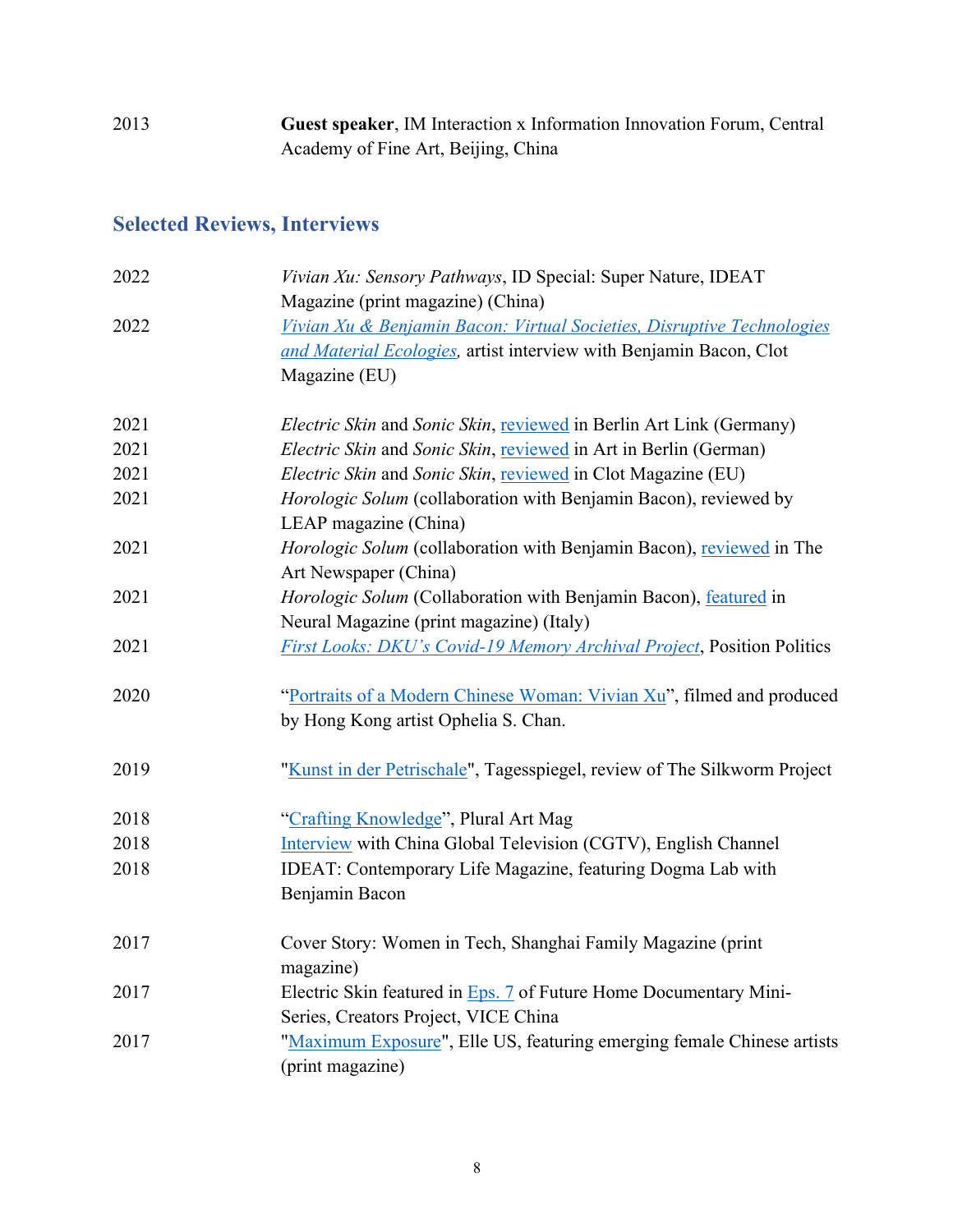2013 **Guest speaker**, IM Interaction x Information Innovation Forum, Central Academy of Fine Art, Beijing, China

# **Selected Reviews, Interviews**

| 2022 | Vivian Xu: Sensory Pathways, ID Special: Super Nature, IDEAT                  |
|------|-------------------------------------------------------------------------------|
|      | Magazine (print magazine) (China)                                             |
| 2022 | Vivian Xu & Benjamin Bacon: Virtual Societies, Disruptive Technologies        |
|      | and Material Ecologies, artist interview with Benjamin Bacon, Clot            |
|      | Magazine (EU)                                                                 |
| 2021 | <i>Electric Skin</i> and Sonic Skin, reviewed in Berlin Art Link (Germany)    |
| 2021 | Electric Skin and Sonic Skin, reviewed in Art in Berlin (German)              |
| 2021 | Electric Skin and Sonic Skin, reviewed in Clot Magazine (EU)                  |
| 2021 | Horologic Solum (collaboration with Benjamin Bacon), reviewed by              |
|      | LEAP magazine (China)                                                         |
| 2021 | Horologic Solum (collaboration with Benjamin Bacon), reviewed in The          |
|      | Art Newspaper (China)                                                         |
| 2021 | Horologic Solum (Collaboration with Benjamin Bacon), featured in              |
|      | Neural Magazine (print magazine) (Italy)                                      |
| 2021 | <b>First Looks: DKU's Covid-19 Memory Archival Project, Position Politics</b> |
| 2020 | "Portraits of a Modern Chinese Woman: Vivian Xu", filmed and produced         |
|      | by Hong Kong artist Ophelia S. Chan.                                          |
| 2019 | "Kunst in der Petrischale", Tagesspiegel, review of The Silkworm Project      |
| 2018 | "Crafting Knowledge", Plural Art Mag                                          |
| 2018 | Interview with China Global Television (CGTV), English Channel                |
| 2018 | IDEAT: Contemporary Life Magazine, featuring Dogma Lab with                   |
|      | Benjamin Bacon                                                                |
| 2017 | Cover Story: Women in Tech, Shanghai Family Magazine (print                   |
|      | magazine)                                                                     |
| 2017 | Electric Skin featured in Eps. 7 of Future Home Documentary Mini-             |
|      | Series, Creators Project, VICE China                                          |
| 2017 | "Maximum Exposure", Elle US, featuring emerging female Chinese artists        |
|      | (print magazine)                                                              |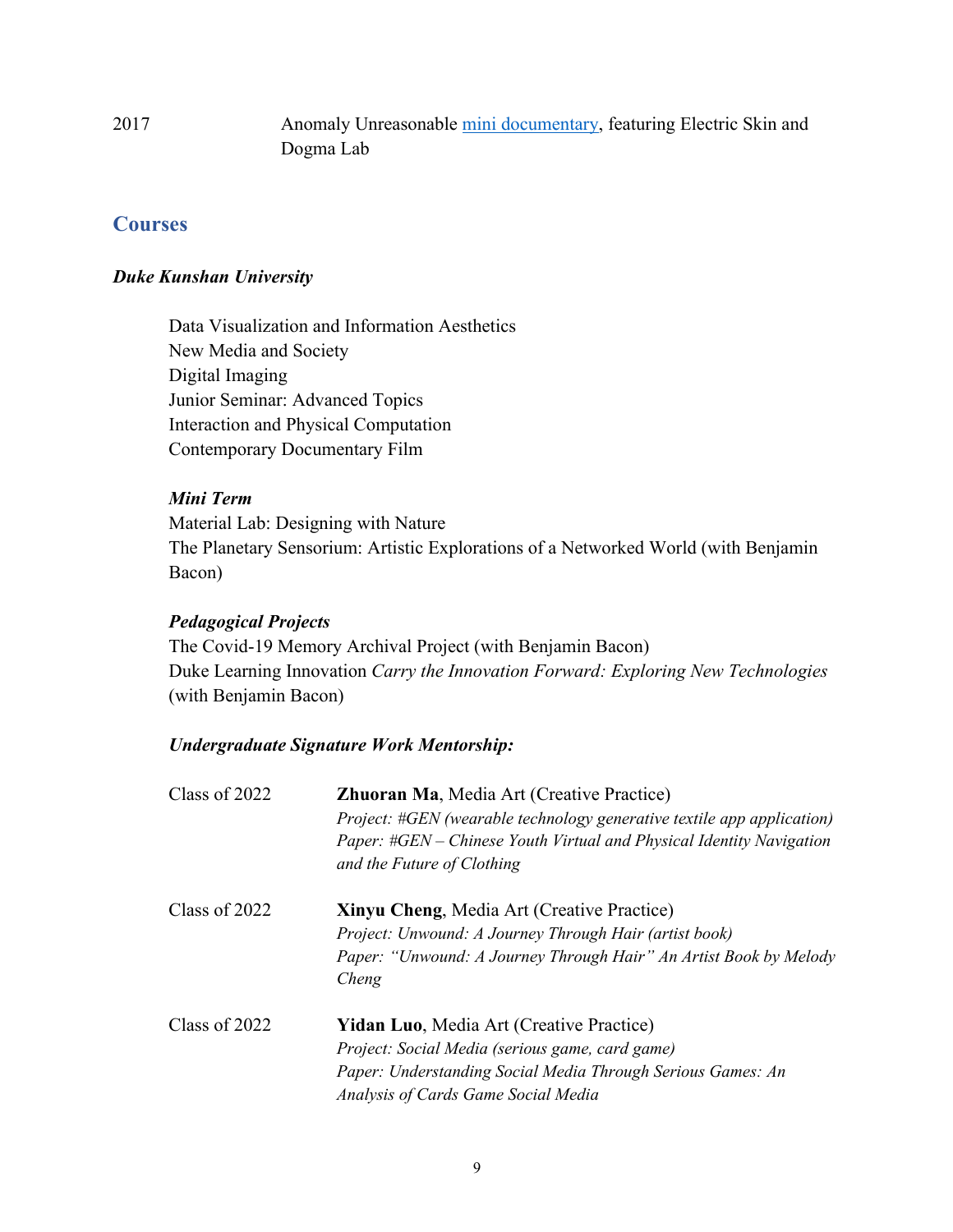2017 Anomaly Unreasonable mini documentary, featuring Electric Skin and Dogma Lab

### **Courses**

#### *Duke Kunshan University*

Data Visualization and Information Aesthetics New Media and Society Digital Imaging Junior Seminar: Advanced Topics Interaction and Physical Computation Contemporary Documentary Film

#### *Mini Term*

Material Lab: Designing with Nature The Planetary Sensorium: Artistic Explorations of a Networked World (with Benjamin Bacon)

#### *Pedagogical Projects*

The Covid-19 Memory Archival Project (with Benjamin Bacon) Duke Learning Innovation *Carry the Innovation Forward: Exploring New Technologies* (with Benjamin Bacon)

### *Undergraduate Signature Work Mentorship:*

| Class of 2022 | <b>Zhuoran Ma, Media Art (Creative Practice)</b><br>Project: #GEN (wearable technology generative textile app application)<br>Paper: #GEN – Chinese Youth Virtual and Physical Identity Navigation<br>and the Future of Clothing |
|---------------|----------------------------------------------------------------------------------------------------------------------------------------------------------------------------------------------------------------------------------|
| Class of 2022 | <b>Xinyu Cheng, Media Art (Creative Practice)</b><br>Project: Unwound: A Journey Through Hair (artist book)                                                                                                                      |
|               | Paper: "Unwound: A Journey Through Hair" An Artist Book by Melody<br>Cheng                                                                                                                                                       |
| Class of 2022 | <b>Yidan Luo, Media Art (Creative Practice)</b>                                                                                                                                                                                  |
|               | Project: Social Media (serious game, card game)                                                                                                                                                                                  |
|               | Paper: Understanding Social Media Through Serious Games: An                                                                                                                                                                      |
|               | Analysis of Cards Game Social Media                                                                                                                                                                                              |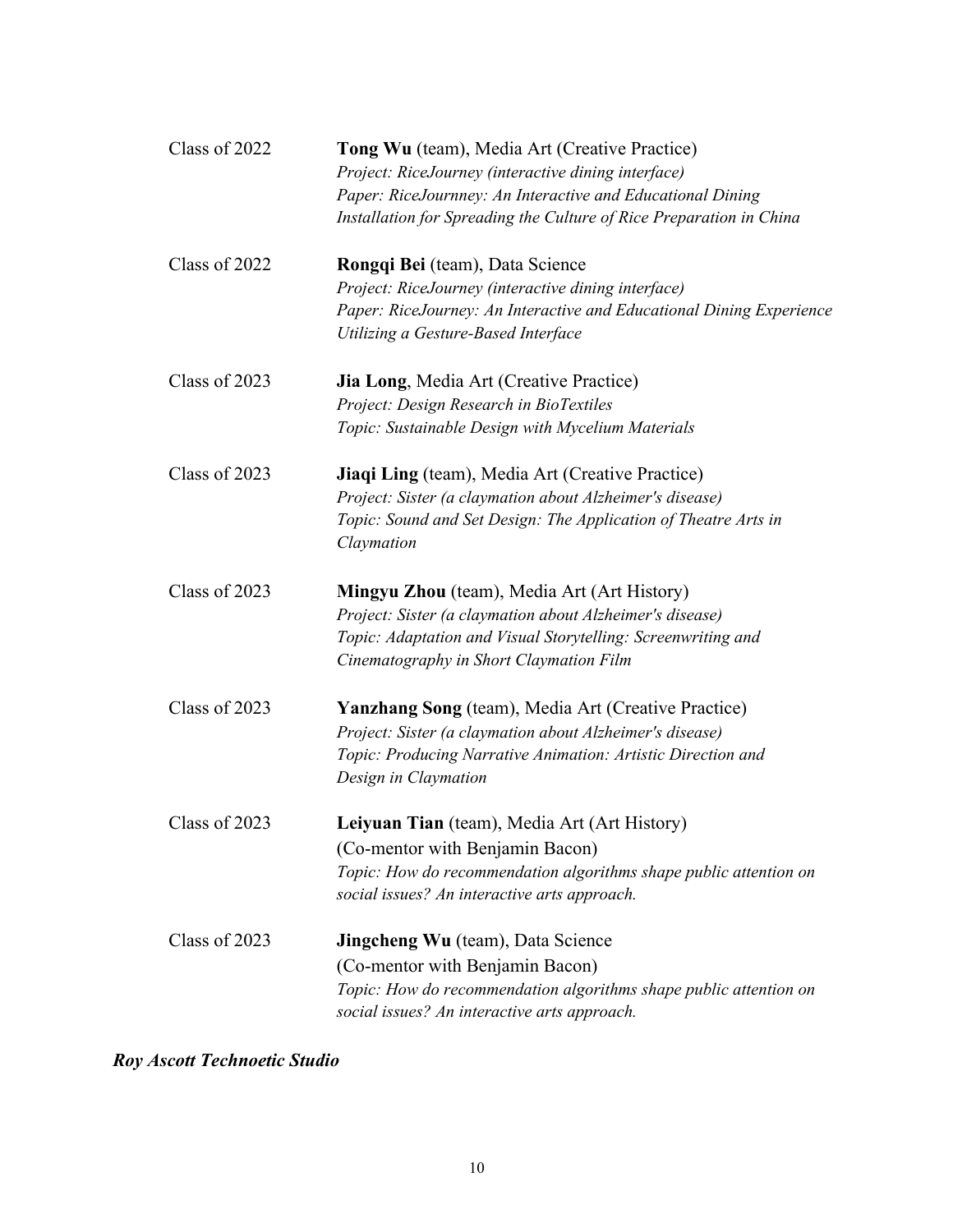| Class of 2022 | Tong Wu (team), Media Art (Creative Practice)                        |
|---------------|----------------------------------------------------------------------|
|               | Project: RiceJourney (interactive dining interface)                  |
|               | Paper: RiceJournney: An Interactive and Educational Dining           |
|               | Installation for Spreading the Culture of Rice Preparation in China  |
| Class of 2022 | Rongqi Bei (team), Data Science                                      |
|               | Project: RiceJourney (interactive dining interface)                  |
|               | Paper: RiceJourney: An Interactive and Educational Dining Experience |
|               | Utilizing a Gesture-Based Interface                                  |
| Class of 2023 | <b>Jia Long, Media Art (Creative Practice)</b>                       |
|               | Project: Design Research in BioTextiles                              |
|               | Topic: Sustainable Design with Mycelium Materials                    |
| Class of 2023 | Jiaqi Ling (team), Media Art (Creative Practice)                     |
|               | Project: Sister (a claymation about Alzheimer's disease)             |
|               | Topic: Sound and Set Design: The Application of Theatre Arts in      |
|               | Claymation                                                           |
| Class of 2023 | <b>Mingyu Zhou</b> (team), Media Art (Art History)                   |
|               | Project: Sister (a claymation about Alzheimer's disease)             |
|               | Topic: Adaptation and Visual Storytelling: Screenwriting and         |
|               | Cinematography in Short Claymation Film                              |
| Class of 2023 | <b>Yanzhang Song</b> (team), Media Art (Creative Practice)           |
|               | Project: Sister (a claymation about Alzheimer's disease)             |
|               | Topic: Producing Narrative Animation: Artistic Direction and         |
|               | Design in Claymation                                                 |
| Class of 2023 | Leiyuan Tian (team), Media Art (Art History)                         |
|               | (Co-mentor with Benjamin Bacon)                                      |
|               | Topic: How do recommendation algorithms shape public attention on    |
|               | social issues? An interactive arts approach.                         |
| Class of 2023 | <b>Jingcheng Wu</b> (team), Data Science                             |
|               | (Co-mentor with Benjamin Bacon)                                      |
|               | Topic: How do recommendation algorithms shape public attention on    |
|               | social issues? An interactive arts approach.                         |

*Roy Ascott Technoetic Studio*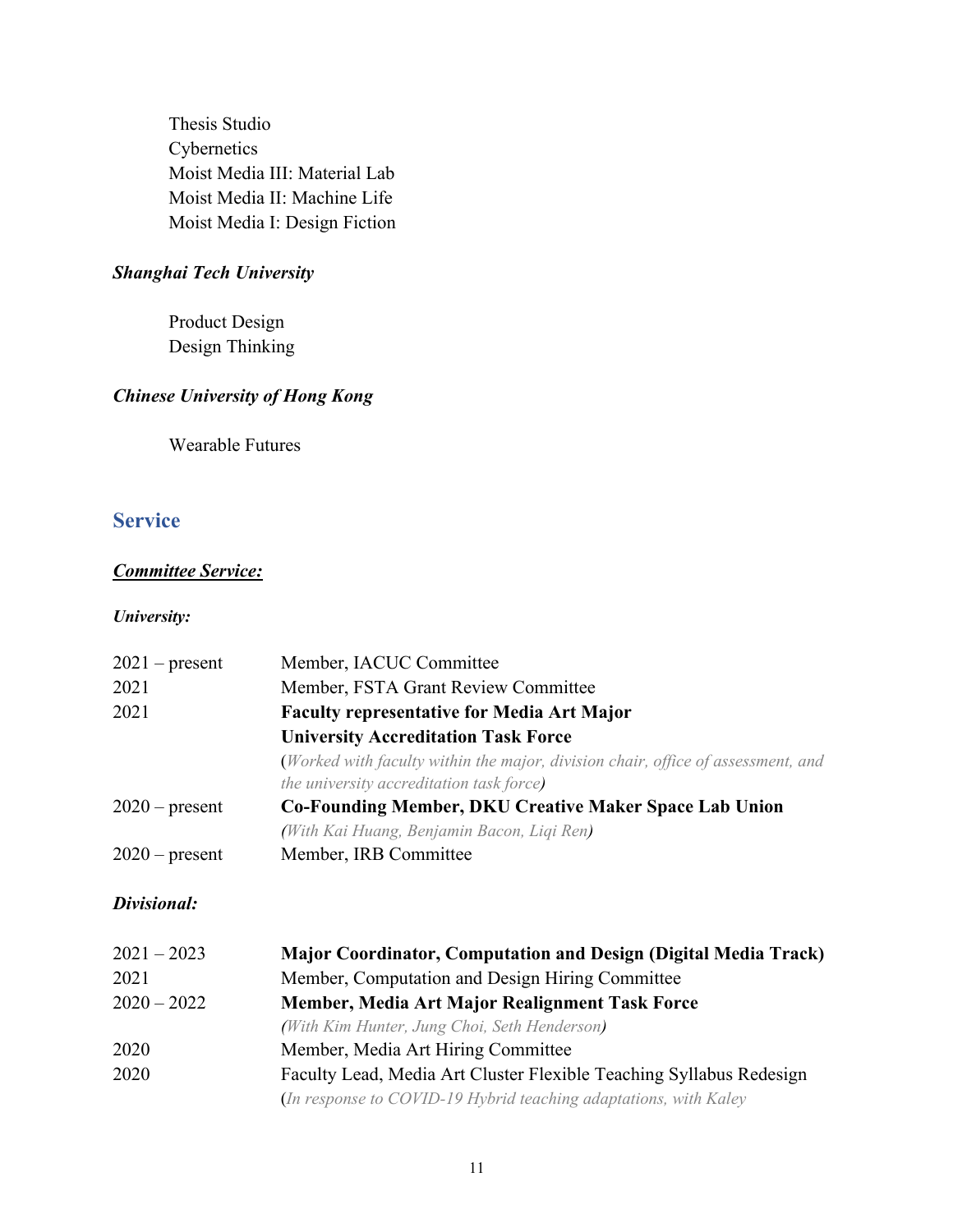Thesis Studio Cybernetics Moist Media III: Material Lab Moist Media II: Machine Life Moist Media I: Design Fiction

#### *Shanghai Tech University*

Product Design Design Thinking

### *Chinese University of Hong Kong*

Wearable Futures

## **Service**

### *Committee Service:*

#### *University:*

| $2021$ – present | Member, IACUC Committee                                                          |
|------------------|----------------------------------------------------------------------------------|
| 2021             | Member, FSTA Grant Review Committee                                              |
| 2021             | <b>Faculty representative for Media Art Major</b>                                |
|                  | <b>University Accreditation Task Force</b>                                       |
|                  | (Worked with faculty within the major, division chair, office of assessment, and |
|                  | the university accreditation task force)                                         |
| $2020$ – present | <b>Co-Founding Member, DKU Creative Maker Space Lab Union</b>                    |
|                  | (With Kai Huang, Benjamin Bacon, Liqi Ren)                                       |
| $2020$ – present | Member, IRB Committee                                                            |

#### *Divisional:*

| $2021 - 2023$ | <b>Major Coordinator, Computation and Design (Digital Media Track)</b> |
|---------------|------------------------------------------------------------------------|
| 2021          | Member, Computation and Design Hiring Committee                        |
| $2020 - 2022$ | Member, Media Art Major Realignment Task Force                         |
|               | (With Kim Hunter, Jung Choi, Seth Henderson)                           |
| 2020          | Member, Media Art Hiring Committee                                     |
| 2020          | Faculty Lead, Media Art Cluster Flexible Teaching Syllabus Redesign    |
|               | (In response to COVID-19 Hybrid teaching adaptations, with Kaley       |